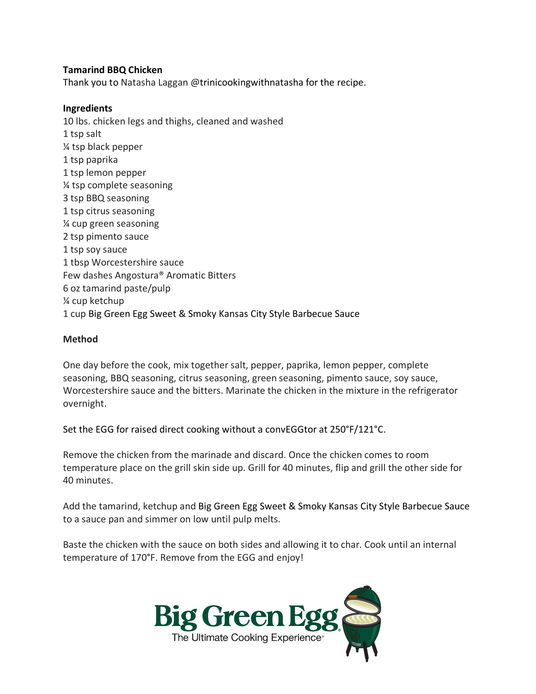## **Tamarind BBQ Chicken**

Thank you to Natasha Laggan @trinicookingwithnatasha for the recipe.

## **Ingredients**

10 lbs. chicken legs and thighs, cleaned and washed 1 tsp salt ¼ tsp black pepper 1 tsp paprika 1 tsp lemon pepper ¼ tsp complete seasoning 3 tsp BBQ seasoning 1 tsp citrus seasoning ¼ cup green seasoning 2 tsp pimento sauce 1 tsp soy sauce 1 tbsp Worcestershire sauce Few dashes Angostura® Aromatic Bitters 6 oz tamarind paste/pulp ¼ cup ketchup 1 cup Big Green Egg Sweet & Smoky Kansas City Style Barbecue Sauce

## **Method**

One day before the cook, mix together salt, pepper, paprika, lemon pepper, complete seasoning, BBQ seasoning, citrus seasoning, green seasoning, pimento sauce, soy sauce, Worcestershire sauce and the bitters. Marinate the chicken in the mixture in the refrigerator overnight.

Set the EGG for raised direct cooking without a convEGGtor at 250°F/121°C.

Remove the chicken from the marinade and discard. Once the chicken comes to room temperature place on the grill skin side up. Grill for 40 minutes, flip and grill the other side for 40 minutes.

Add the tamarind, ketchup and Big Green Egg Sweet & Smoky Kansas City Style Barbecue Sauce to a sauce pan and simmer on low until pulp melts.

Baste the chicken with the sauce on both sides and allowing it to char. Cook until an internal temperature of 170°F. Remove from the EGG and enjoy!